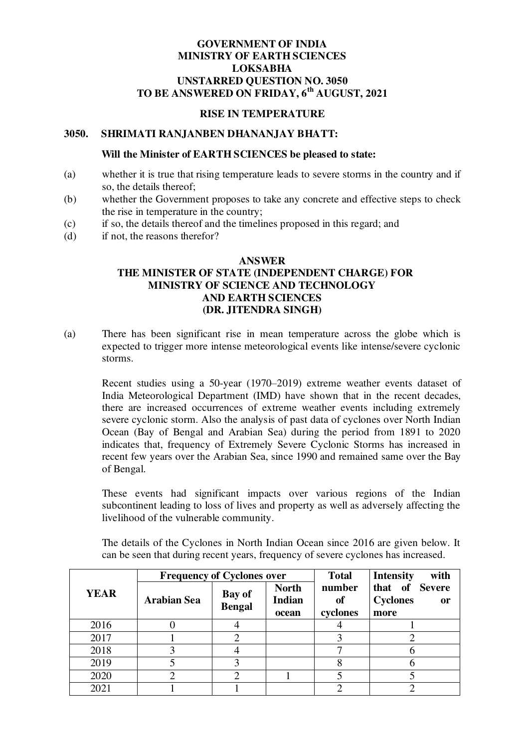# **GOVERNMENT OF INDIA MINISTRY OF EARTH SCIENCES LOKSABHA UNSTARRED QUESTION NO. 3050 TO BE ANSWERED ON FRIDAY, 6th AUGUST, 2021**

### **RISE IN TEMPERATURE**

### **3050. SHRIMATI RANJANBEN DHANANJAY BHATT:**

#### **Will the Minister of EARTH SCIENCES be pleased to state:**

- (a) whether it is true that rising temperature leads to severe storms in the country and if so, the details thereof;
- (b) whether the Government proposes to take any concrete and effective steps to check the rise in temperature in the country;
- (c) if so, the details thereof and the timelines proposed in this regard; and
- (d) if not, the reasons therefor?

# **ANSWER THE MINISTER OF STATE (INDEPENDENT CHARGE) FOR MINISTRY OF SCIENCE AND TECHNOLOGY AND EARTH SCIENCES (DR. JITENDRA SINGH)**

(a) There has been significant rise in mean temperature across the globe which is expected to trigger more intense meteorological events like intense/severe cyclonic storms.

Recent studies using a 50-year (1970–2019) extreme weather events dataset of India Meteorological Department (IMD) have shown that in the recent decades, there are increased occurrences of extreme weather events including extremely severe cyclonic storm. Also the analysis of past data of cyclones over North Indian Ocean (Bay of Bengal and Arabian Sea) during the period from 1891 to 2020 indicates that, frequency of Extremely Severe Cyclonic Storms has increased in recent few years over the Arabian Sea, since 1990 and remained same over the Bay of Bengal.

These events had significant impacts over various regions of the Indian subcontinent leading to loss of lives and property as well as adversely affecting the livelihood of the vulnerable community.

The details of the Cyclones in North Indian Ocean since 2016 are given below. It can be seen that during recent years, frequency of severe cyclones has increased.

|             | <b>Frequency of Cyclones over</b> |                         |                                        | <b>Total</b>                    | <b>Intensity</b><br>with                               |
|-------------|-----------------------------------|-------------------------|----------------------------------------|---------------------------------|--------------------------------------------------------|
| <b>YEAR</b> | <b>Arabian Sea</b>                | Bay of<br><b>Bengal</b> | <b>North</b><br><b>Indian</b><br>ocean | number<br><b>of</b><br>cyclones | that of Severe<br><b>Cyclones</b><br><b>or</b><br>more |
| 2016        |                                   |                         |                                        |                                 |                                                        |
| 2017        |                                   |                         |                                        |                                 |                                                        |
| 2018        |                                   |                         |                                        |                                 |                                                        |
| 2019        |                                   |                         |                                        |                                 |                                                        |
| 2020        |                                   | 2                       |                                        |                                 |                                                        |
| 2021        |                                   |                         |                                        |                                 |                                                        |